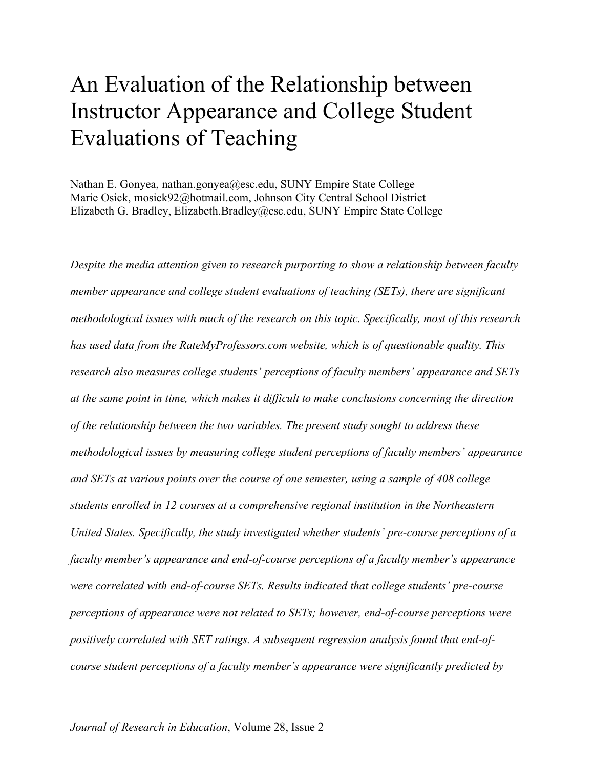# An Evaluation of the Relationship between Instructor Appearance and College Student Evaluations of Teaching

Nathan E. Gonyea, nathan.gonyea@esc.edu, SUNY Empire State College Marie Osick, mosick92@hotmail.com, Johnson City Central School District Elizabeth G. Bradley, Elizabeth.Bradley@esc.edu, SUNY Empire State College

*Despite the media attention given to research purporting to show a relationship between faculty member appearance and college student evaluations of teaching (SETs), there are significant methodological issues with much of the research on this topic. Specifically, most of this research has used data from the RateMyProfessors.com website, which is of questionable quality. This research also measures college students' perceptions of faculty members' appearance and SETs at the same point in time, which makes it difficult to make conclusions concerning the direction of the relationship between the two variables. The present study sought to address these methodological issues by measuring college student perceptions of faculty members' appearance and SETs at various points over the course of one semester, using a sample of 408 college students enrolled in 12 courses at a comprehensive regional institution in the Northeastern United States. Specifically, the study investigated whether students' pre-course perceptions of a faculty member's appearance and end-of-course perceptions of a faculty member's appearance were correlated with end-of-course SETs. Results indicated that college students' pre-course perceptions of appearance were not related to SETs; however, end-of-course perceptions were positively correlated with SET ratings. A subsequent regression analysis found that end-ofcourse student perceptions of a faculty member's appearance were significantly predicted by*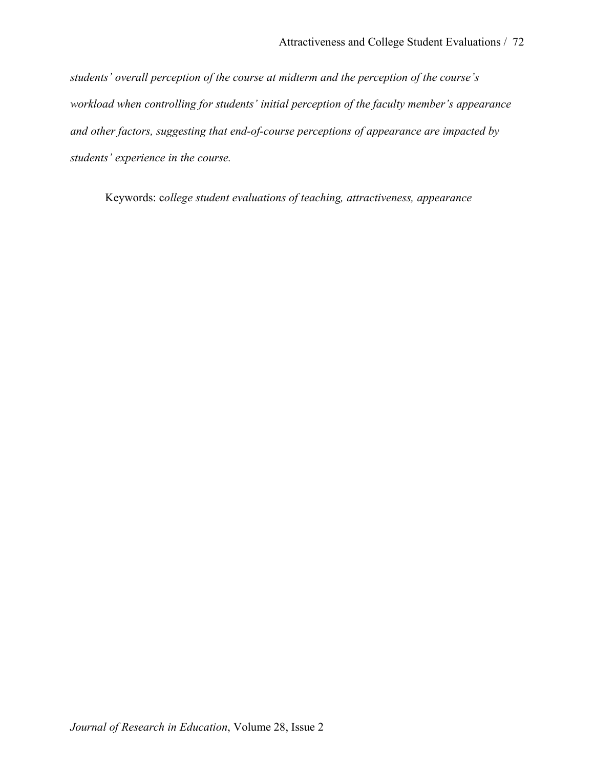*students' overall perception of the course at midterm and the perception of the course's workload when controlling for students' initial perception of the faculty member's appearance and other factors, suggesting that end-of-course perceptions of appearance are impacted by students' experience in the course.*

Keywords: c*ollege student evaluations of teaching, attractiveness, appearance*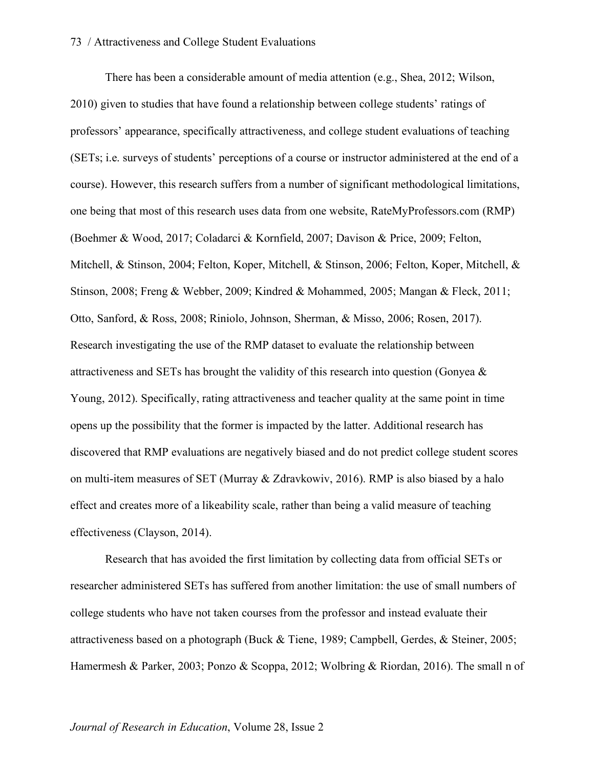There has been a considerable amount of media attention (e.g., Shea, 2012; Wilson, 2010) given to studies that have found a relationship between college students' ratings of professors' appearance, specifically attractiveness, and college student evaluations of teaching (SETs; i.e. surveys of students' perceptions of a course or instructor administered at the end of a course). However, this research suffers from a number of significant methodological limitations, one being that most of this research uses data from one website, RateMyProfessors.com (RMP) (Boehmer & Wood, 2017; Coladarci & Kornfield, 2007; Davison & Price, 2009; Felton, Mitchell, & Stinson, 2004; Felton, Koper, Mitchell, & Stinson, 2006; Felton, Koper, Mitchell, & Stinson, 2008; Freng & Webber, 2009; Kindred & Mohammed, 2005; Mangan & Fleck, 2011; Otto, Sanford, & Ross, 2008; Riniolo, Johnson, Sherman, & Misso, 2006; Rosen, 2017). Research investigating the use of the RMP dataset to evaluate the relationship between attractiveness and SETs has brought the validity of this research into question (Gonyea & Young, 2012). Specifically, rating attractiveness and teacher quality at the same point in time opens up the possibility that the former is impacted by the latter. Additional research has discovered that RMP evaluations are negatively biased and do not predict college student scores on multi-item measures of SET (Murray & Zdravkowiv, 2016). RMP is also biased by a halo effect and creates more of a likeability scale, rather than being a valid measure of teaching effectiveness (Clayson, 2014).

Research that has avoided the first limitation by collecting data from official SETs or researcher administered SETs has suffered from another limitation: the use of small numbers of college students who have not taken courses from the professor and instead evaluate their attractiveness based on a photograph (Buck & Tiene, 1989; Campbell, Gerdes, & Steiner, 2005; Hamermesh & Parker, 2003; Ponzo & Scoppa, 2012; Wolbring & Riordan, 2016). The small n of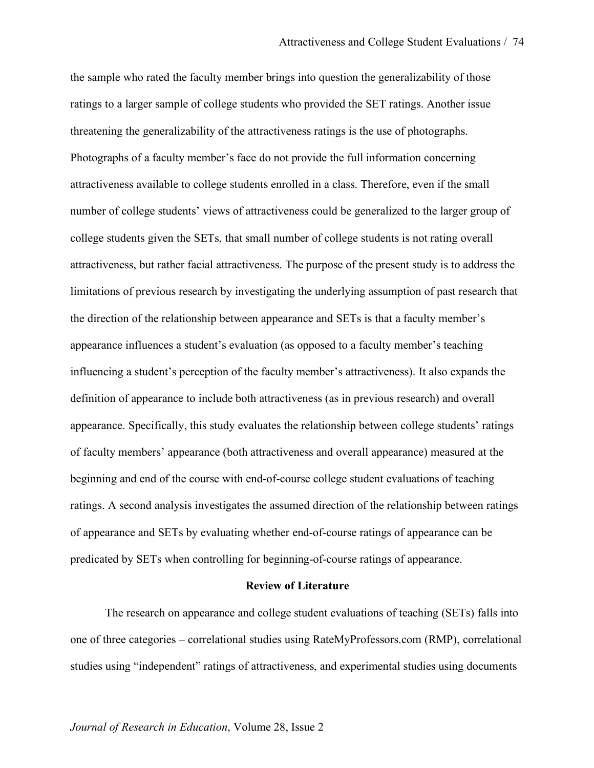the sample who rated the faculty member brings into question the generalizability of those ratings to a larger sample of college students who provided the SET ratings. Another issue threatening the generalizability of the attractiveness ratings is the use of photographs. Photographs of a faculty member's face do not provide the full information concerning attractiveness available to college students enrolled in a class. Therefore, even if the small number of college students' views of attractiveness could be generalized to the larger group of college students given the SETs, that small number of college students is not rating overall attractiveness, but rather facial attractiveness. The purpose of the present study is to address the limitations of previous research by investigating the underlying assumption of past research that the direction of the relationship between appearance and SETs is that a faculty member's appearance influences a student's evaluation (as opposed to a faculty member's teaching influencing a student's perception of the faculty member's attractiveness). It also expands the definition of appearance to include both attractiveness (as in previous research) and overall appearance. Specifically, this study evaluates the relationship between college students' ratings of faculty members' appearance (both attractiveness and overall appearance) measured at the beginning and end of the course with end-of-course college student evaluations of teaching ratings. A second analysis investigates the assumed direction of the relationship between ratings of appearance and SETs by evaluating whether end-of-course ratings of appearance can be predicated by SETs when controlling for beginning-of-course ratings of appearance.

## **Review of Literature**

The research on appearance and college student evaluations of teaching (SETs) falls into one of three categories – correlational studies using RateMyProfessors.com (RMP), correlational studies using "independent" ratings of attractiveness, and experimental studies using documents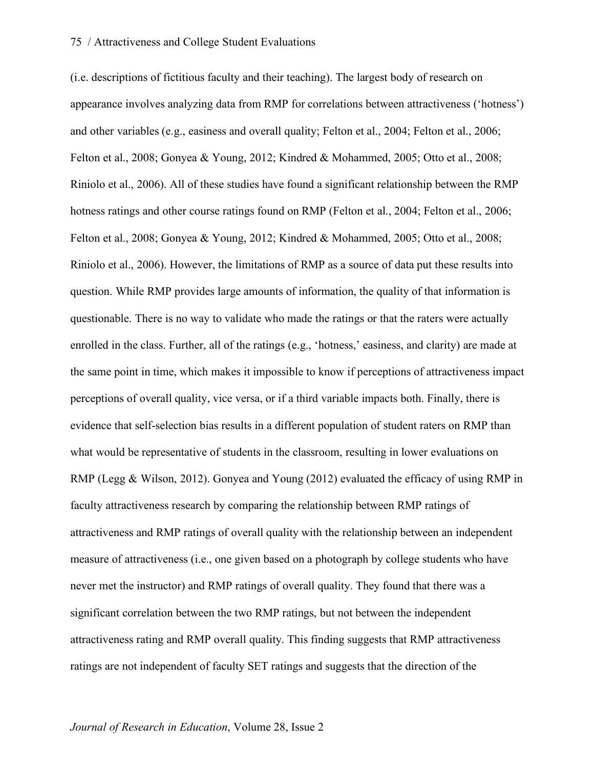(i.e. descriptions of fictitious faculty and their teaching). The largest body of research on appearance involves analyzing data from RMP for correlations between attractiveness ('hotness') and other variables (e.g., easiness and overall quality; Felton et al., 2004; Felton et al., 2006; Felton et al., 2008; Gonyea & Young, 2012; Kindred & Mohammed, 2005; Otto et al., 2008; Riniolo et al., 2006). All of these studies have found a significant relationship between the RMP hotness ratings and other course ratings found on RMP (Felton et al., 2004; Felton et al., 2006; Felton et al., 2008; Gonyea & Young, 2012; Kindred & Mohammed, 2005; Otto et al., 2008; Riniolo et al., 2006). However, the limitations of RMP as a source of data put these results into question. While RMP provides large amounts of information, the quality of that information is questionable. There is no way to validate who made the ratings or that the raters were actually enrolled in the class. Further, all of the ratings (e.g., 'hotness,' easiness, and clarity) are made at the same point in time, which makes it impossible to know if perceptions of attractiveness impact perceptions of overall quality, vice versa, or if a third variable impacts both. Finally, there is evidence that self-selection bias results in a different population of student raters on RMP than what would be representative of students in the classroom, resulting in lower evaluations on RMP (Legg & Wilson, 2012). Gonyea and Young (2012) evaluated the efficacy of using RMP in faculty attractiveness research by comparing the relationship between RMP ratings of attractiveness and RMP ratings of overall quality with the relationship between an independent measure of attractiveness (i.e., one given based on a photograph by college students who have never met the instructor) and RMP ratings of overall quality. They found that there was a significant correlation between the two RMP ratings, but not between the independent attractiveness rating and RMP overall quality. This finding suggests that RMP attractiveness ratings are not independent of faculty SET ratings and suggests that the direction of the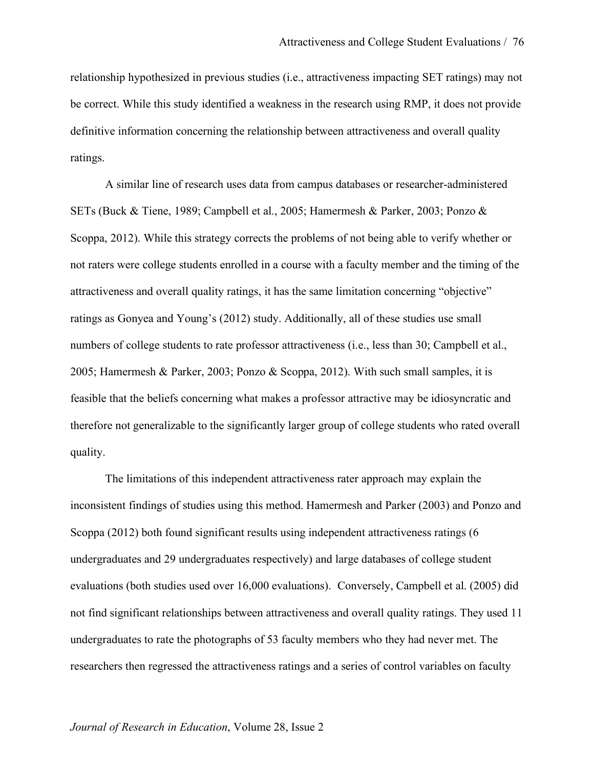relationship hypothesized in previous studies (i.e., attractiveness impacting SET ratings) may not be correct. While this study identified a weakness in the research using RMP, it does not provide definitive information concerning the relationship between attractiveness and overall quality ratings.

A similar line of research uses data from campus databases or researcher-administered SETs (Buck & Tiene, 1989; Campbell et al., 2005; Hamermesh & Parker, 2003; Ponzo & Scoppa, 2012). While this strategy corrects the problems of not being able to verify whether or not raters were college students enrolled in a course with a faculty member and the timing of the attractiveness and overall quality ratings, it has the same limitation concerning "objective" ratings as Gonyea and Young's (2012) study. Additionally, all of these studies use small numbers of college students to rate professor attractiveness (i.e., less than 30; Campbell et al., 2005; Hamermesh & Parker, 2003; Ponzo & Scoppa, 2012). With such small samples, it is feasible that the beliefs concerning what makes a professor attractive may be idiosyncratic and therefore not generalizable to the significantly larger group of college students who rated overall quality.

The limitations of this independent attractiveness rater approach may explain the inconsistent findings of studies using this method. Hamermesh and Parker (2003) and Ponzo and Scoppa (2012) both found significant results using independent attractiveness ratings (6 undergraduates and 29 undergraduates respectively) and large databases of college student evaluations (both studies used over 16,000 evaluations). Conversely, Campbell et al. (2005) did not find significant relationships between attractiveness and overall quality ratings. They used 11 undergraduates to rate the photographs of 53 faculty members who they had never met. The researchers then regressed the attractiveness ratings and a series of control variables on faculty

## *Journal of Research in Education*, Volume 28, Issue 2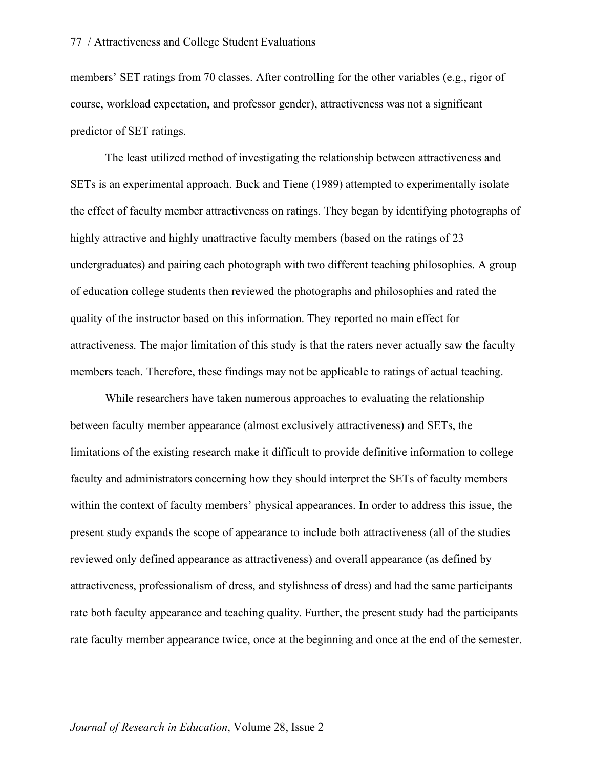members' SET ratings from 70 classes. After controlling for the other variables (e.g., rigor of course, workload expectation, and professor gender), attractiveness was not a significant predictor of SET ratings.

The least utilized method of investigating the relationship between attractiveness and SETs is an experimental approach. Buck and Tiene (1989) attempted to experimentally isolate the effect of faculty member attractiveness on ratings. They began by identifying photographs of highly attractive and highly unattractive faculty members (based on the ratings of 23 undergraduates) and pairing each photograph with two different teaching philosophies. A group of education college students then reviewed the photographs and philosophies and rated the quality of the instructor based on this information. They reported no main effect for attractiveness. The major limitation of this study is that the raters never actually saw the faculty members teach. Therefore, these findings may not be applicable to ratings of actual teaching.

While researchers have taken numerous approaches to evaluating the relationship between faculty member appearance (almost exclusively attractiveness) and SETs, the limitations of the existing research make it difficult to provide definitive information to college faculty and administrators concerning how they should interpret the SETs of faculty members within the context of faculty members' physical appearances. In order to address this issue, the present study expands the scope of appearance to include both attractiveness (all of the studies reviewed only defined appearance as attractiveness) and overall appearance (as defined by attractiveness, professionalism of dress, and stylishness of dress) and had the same participants rate both faculty appearance and teaching quality. Further, the present study had the participants rate faculty member appearance twice, once at the beginning and once at the end of the semester.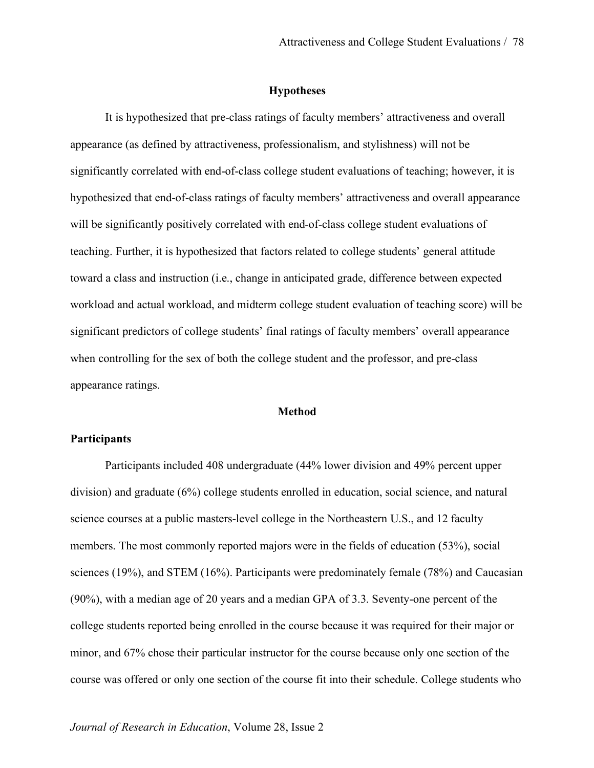## **Hypotheses**

It is hypothesized that pre-class ratings of faculty members' attractiveness and overall appearance (as defined by attractiveness, professionalism, and stylishness) will not be significantly correlated with end-of-class college student evaluations of teaching; however, it is hypothesized that end-of-class ratings of faculty members' attractiveness and overall appearance will be significantly positively correlated with end-of-class college student evaluations of teaching. Further, it is hypothesized that factors related to college students' general attitude toward a class and instruction (i.e., change in anticipated grade, difference between expected workload and actual workload, and midterm college student evaluation of teaching score) will be significant predictors of college students' final ratings of faculty members' overall appearance when controlling for the sex of both the college student and the professor, and pre-class appearance ratings.

## **Method**

## **Participants**

Participants included 408 undergraduate (44% lower division and 49% percent upper division) and graduate (6%) college students enrolled in education, social science, and natural science courses at a public masters-level college in the Northeastern U.S., and 12 faculty members. The most commonly reported majors were in the fields of education (53%), social sciences (19%), and STEM (16%). Participants were predominately female (78%) and Caucasian (90%), with a median age of 20 years and a median GPA of 3.3. Seventy-one percent of the college students reported being enrolled in the course because it was required for their major or minor, and 67% chose their particular instructor for the course because only one section of the course was offered or only one section of the course fit into their schedule. College students who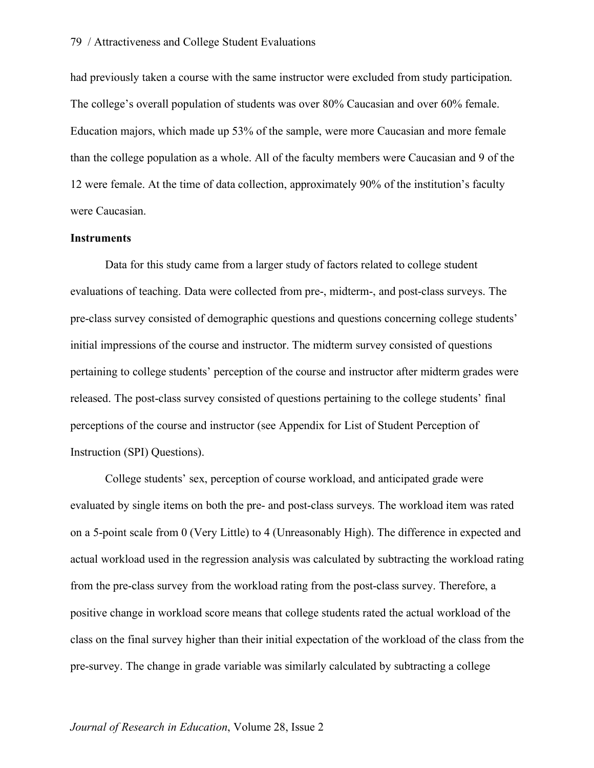had previously taken a course with the same instructor were excluded from study participation. The college's overall population of students was over 80% Caucasian and over 60% female. Education majors, which made up 53% of the sample, were more Caucasian and more female than the college population as a whole. All of the faculty members were Caucasian and 9 of the 12 were female. At the time of data collection, approximately 90% of the institution's faculty were Caucasian.

## **Instruments**

Data for this study came from a larger study of factors related to college student evaluations of teaching. Data were collected from pre-, midterm-, and post-class surveys. The pre-class survey consisted of demographic questions and questions concerning college students' initial impressions of the course and instructor. The midterm survey consisted of questions pertaining to college students' perception of the course and instructor after midterm grades were released. The post-class survey consisted of questions pertaining to the college students' final perceptions of the course and instructor (see Appendix for List of Student Perception of Instruction (SPI) Questions).

College students' sex, perception of course workload, and anticipated grade were evaluated by single items on both the pre- and post-class surveys. The workload item was rated on a 5-point scale from 0 (Very Little) to 4 (Unreasonably High). The difference in expected and actual workload used in the regression analysis was calculated by subtracting the workload rating from the pre-class survey from the workload rating from the post-class survey. Therefore, a positive change in workload score means that college students rated the actual workload of the class on the final survey higher than their initial expectation of the workload of the class from the pre-survey. The change in grade variable was similarly calculated by subtracting a college

## *Journal of Research in Education*, Volume 28, Issue 2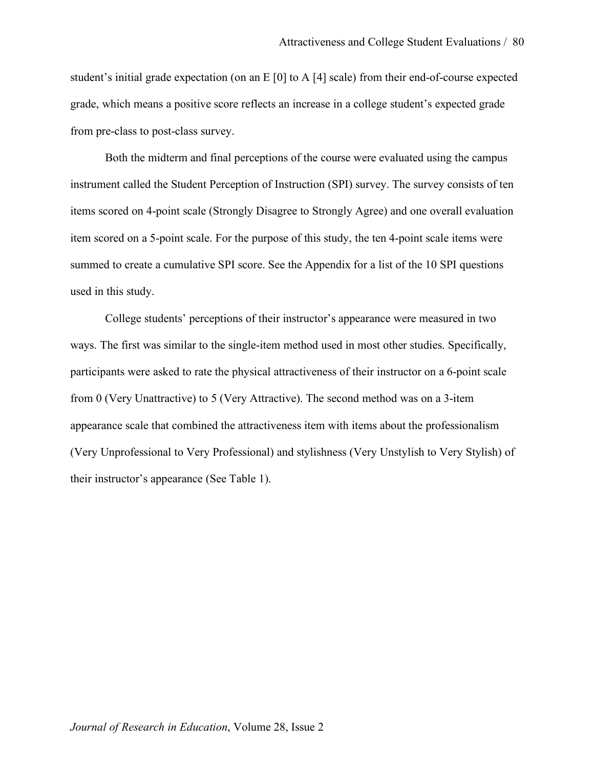student's initial grade expectation (on an E [0] to A [4] scale) from their end-of-course expected grade, which means a positive score reflects an increase in a college student's expected grade from pre-class to post-class survey.

Both the midterm and final perceptions of the course were evaluated using the campus instrument called the Student Perception of Instruction (SPI) survey. The survey consists of ten items scored on 4-point scale (Strongly Disagree to Strongly Agree) and one overall evaluation item scored on a 5-point scale. For the purpose of this study, the ten 4-point scale items were summed to create a cumulative SPI score. See the Appendix for a list of the 10 SPI questions used in this study.

College students' perceptions of their instructor's appearance were measured in two ways. The first was similar to the single-item method used in most other studies. Specifically, participants were asked to rate the physical attractiveness of their instructor on a 6-point scale from 0 (Very Unattractive) to 5 (Very Attractive). The second method was on a 3-item appearance scale that combined the attractiveness item with items about the professionalism (Very Unprofessional to Very Professional) and stylishness (Very Unstylish to Very Stylish) of their instructor's appearance (See Table 1).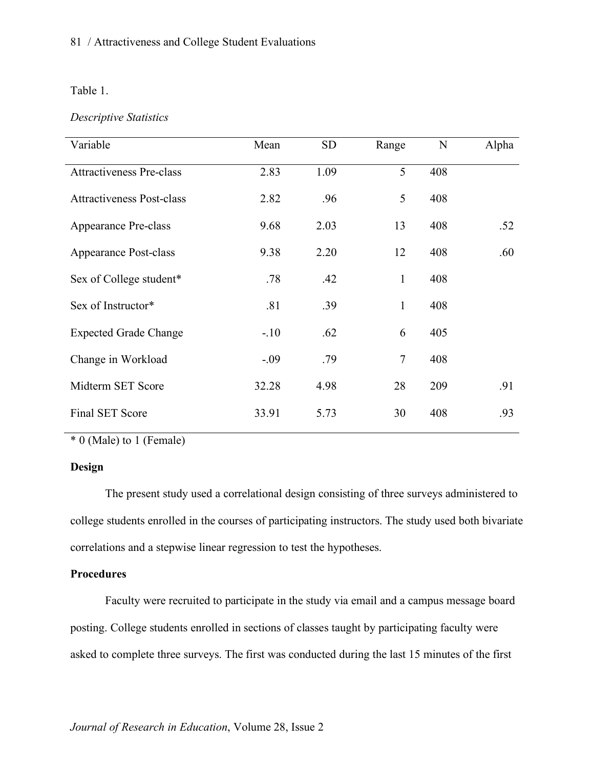## Table 1.

# *Descriptive Statistics*

| Variable                         | Mean   | <b>SD</b> | Range        | $\mathbf N$ | Alpha |
|----------------------------------|--------|-----------|--------------|-------------|-------|
| <b>Attractiveness Pre-class</b>  | 2.83   | 1.09      | 5            | 408         |       |
| <b>Attractiveness Post-class</b> | 2.82   | .96       | 5            | 408         |       |
| Appearance Pre-class             | 9.68   | 2.03      | 13           | 408         | .52   |
| <b>Appearance Post-class</b>     | 9.38   | 2.20      | 12           | 408         | .60   |
| Sex of College student*          | .78    | .42       | $\mathbf{1}$ | 408         |       |
| Sex of Instructor*               | .81    | .39       | $\mathbf{1}$ | 408         |       |
| <b>Expected Grade Change</b>     | $-.10$ | .62       | 6            | 405         |       |
| Change in Workload               | $-.09$ | .79       | 7            | 408         |       |
| Midterm SET Score                | 32.28  | 4.98      | 28           | 209         | .91   |
| <b>Final SET Score</b>           | 33.91  | 5.73      | 30           | 408         | .93   |

\* 0 (Male) to 1 (Female)

# **Design**

The present study used a correlational design consisting of three surveys administered to college students enrolled in the courses of participating instructors. The study used both bivariate correlations and a stepwise linear regression to test the hypotheses.

## **Procedures**

Faculty were recruited to participate in the study via email and a campus message board posting. College students enrolled in sections of classes taught by participating faculty were asked to complete three surveys. The first was conducted during the last 15 minutes of the first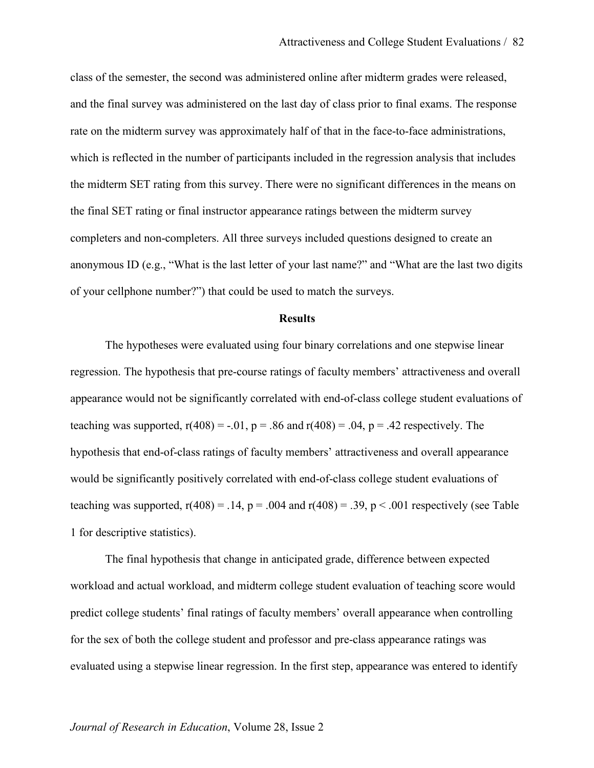class of the semester, the second was administered online after midterm grades were released, and the final survey was administered on the last day of class prior to final exams. The response rate on the midterm survey was approximately half of that in the face-to-face administrations, which is reflected in the number of participants included in the regression analysis that includes the midterm SET rating from this survey. There were no significant differences in the means on the final SET rating or final instructor appearance ratings between the midterm survey completers and non-completers. All three surveys included questions designed to create an anonymous ID (e.g., "What is the last letter of your last name?" and "What are the last two digits of your cellphone number?") that could be used to match the surveys.

#### **Results**

The hypotheses were evaluated using four binary correlations and one stepwise linear regression. The hypothesis that pre-course ratings of faculty members' attractiveness and overall appearance would not be significantly correlated with end-of-class college student evaluations of teaching was supported,  $r(408) = -0.01$ ,  $p = 0.86$  and  $r(408) = 0.04$ ,  $p = 0.42$  respectively. The hypothesis that end-of-class ratings of faculty members' attractiveness and overall appearance would be significantly positively correlated with end-of-class college student evaluations of teaching was supported,  $r(408) = .14$ ,  $p = .004$  and  $r(408) = .39$ ,  $p < .001$  respectively (see Table 1 for descriptive statistics).

The final hypothesis that change in anticipated grade, difference between expected workload and actual workload, and midterm college student evaluation of teaching score would predict college students' final ratings of faculty members' overall appearance when controlling for the sex of both the college student and professor and pre-class appearance ratings was evaluated using a stepwise linear regression. In the first step, appearance was entered to identify

#### *Journal of Research in Education*, Volume 28, Issue 2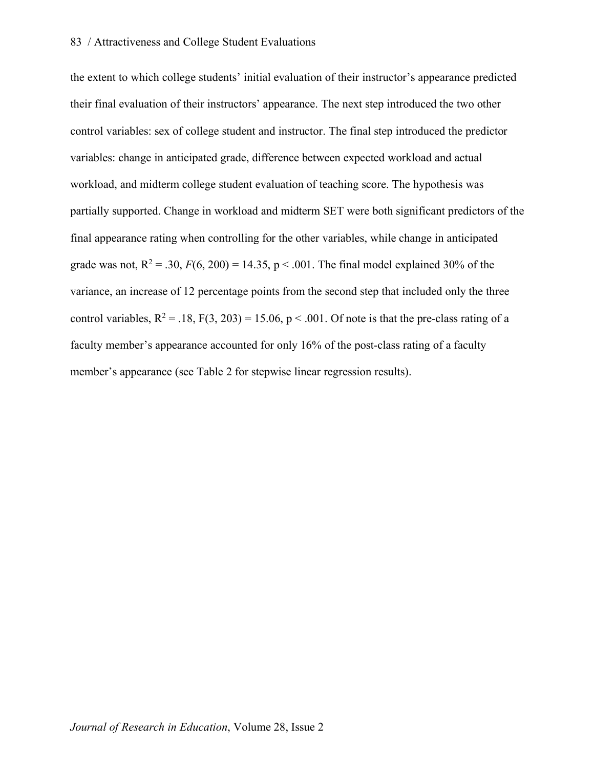the extent to which college students' initial evaluation of their instructor's appearance predicted their final evaluation of their instructors' appearance. The next step introduced the two other control variables: sex of college student and instructor. The final step introduced the predictor variables: change in anticipated grade, difference between expected workload and actual workload, and midterm college student evaluation of teaching score. The hypothesis was partially supported. Change in workload and midterm SET were both significant predictors of the final appearance rating when controlling for the other variables, while change in anticipated grade was not,  $R^2 = .30$ ,  $F(6, 200) = 14.35$ ,  $p < .001$ . The final model explained 30% of the variance, an increase of 12 percentage points from the second step that included only the three control variables,  $R^2 = .18$ ,  $F(3, 203) = 15.06$ ,  $p < .001$ . Of note is that the pre-class rating of a faculty member's appearance accounted for only 16% of the post-class rating of a faculty member's appearance (see Table 2 for stepwise linear regression results).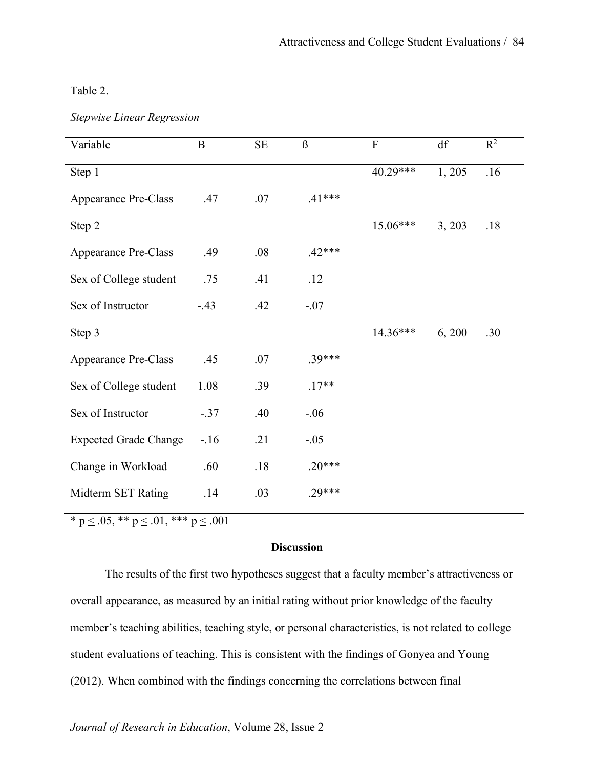Table 2.

|  |  | <b>Stepwise Linear Regression</b> |  |
|--|--|-----------------------------------|--|
|--|--|-----------------------------------|--|

| $\bf{B}$ | $\rm SE$ | $\beta$  | $\boldsymbol{\mathrm{F}}$ | df     | $R^2$ |
|----------|----------|----------|---------------------------|--------|-------|
|          |          |          | 40.29***                  | 1,205  | .16   |
| .47      | .07      | $.41***$ |                           |        |       |
|          |          |          | 15.06***                  | 3, 203 | .18   |
| .49      | .08      | $.42***$ |                           |        |       |
| .75      | .41      | .12      |                           |        |       |
| $-43$    | .42      | $-.07$   |                           |        |       |
|          |          |          | 14.36***                  | 6,200  | .30   |
| .45      | .07      | 39***    |                           |        |       |
| 1.08     | .39      | $.17**$  |                           |        |       |
| $-.37$   | .40      | $-0.06$  |                           |        |       |
| $-16$    | .21      | $-.05$   |                           |        |       |
| .60      | .18      | $.20***$ |                           |        |       |
| .14      | .03      | $.29***$ |                           |        |       |
|          |          |          |                           |        |       |

\* p  $\leq$  .05, \*\* p  $\leq$  .01, \*\*\* p  $\leq$  .001

# **Discussion**

The results of the first two hypotheses suggest that a faculty member's attractiveness or overall appearance, as measured by an initial rating without prior knowledge of the faculty member's teaching abilities, teaching style, or personal characteristics, is not related to college student evaluations of teaching. This is consistent with the findings of Gonyea and Young (2012). When combined with the findings concerning the correlations between final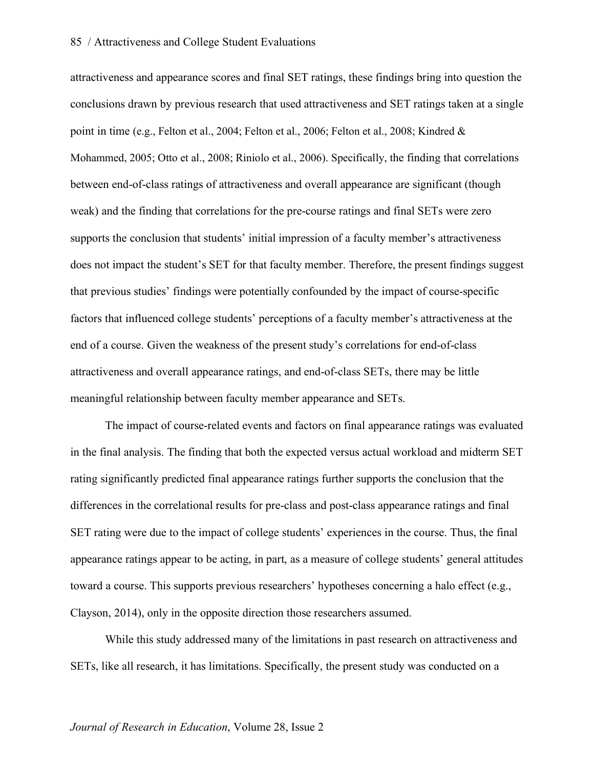attractiveness and appearance scores and final SET ratings, these findings bring into question the conclusions drawn by previous research that used attractiveness and SET ratings taken at a single point in time (e.g., Felton et al., 2004; Felton et al., 2006; Felton et al., 2008; Kindred & Mohammed, 2005; Otto et al., 2008; Riniolo et al., 2006). Specifically, the finding that correlations between end-of-class ratings of attractiveness and overall appearance are significant (though weak) and the finding that correlations for the pre-course ratings and final SETs were zero supports the conclusion that students' initial impression of a faculty member's attractiveness does not impact the student's SET for that faculty member. Therefore, the present findings suggest that previous studies' findings were potentially confounded by the impact of course-specific factors that influenced college students' perceptions of a faculty member's attractiveness at the end of a course. Given the weakness of the present study's correlations for end-of-class attractiveness and overall appearance ratings, and end-of-class SETs, there may be little meaningful relationship between faculty member appearance and SETs.

The impact of course-related events and factors on final appearance ratings was evaluated in the final analysis. The finding that both the expected versus actual workload and midterm SET rating significantly predicted final appearance ratings further supports the conclusion that the differences in the correlational results for pre-class and post-class appearance ratings and final SET rating were due to the impact of college students' experiences in the course. Thus, the final appearance ratings appear to be acting, in part, as a measure of college students' general attitudes toward a course. This supports previous researchers' hypotheses concerning a halo effect (e.g., Clayson, 2014), only in the opposite direction those researchers assumed.

While this study addressed many of the limitations in past research on attractiveness and SETs, like all research, it has limitations. Specifically, the present study was conducted on a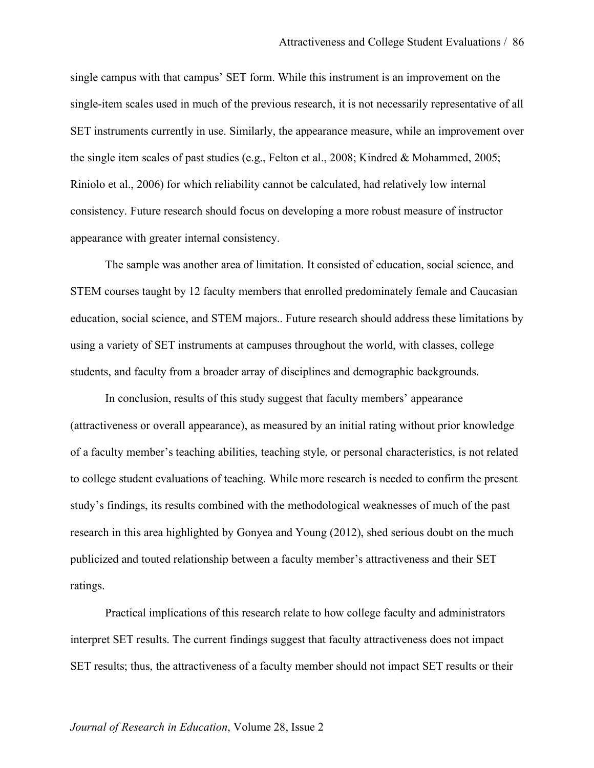single campus with that campus' SET form. While this instrument is an improvement on the single-item scales used in much of the previous research, it is not necessarily representative of all SET instruments currently in use. Similarly, the appearance measure, while an improvement over the single item scales of past studies (e.g., Felton et al., 2008; Kindred & Mohammed, 2005; Riniolo et al., 2006) for which reliability cannot be calculated, had relatively low internal consistency. Future research should focus on developing a more robust measure of instructor appearance with greater internal consistency.

The sample was another area of limitation. It consisted of education, social science, and STEM courses taught by 12 faculty members that enrolled predominately female and Caucasian education, social science, and STEM majors.. Future research should address these limitations by using a variety of SET instruments at campuses throughout the world, with classes, college students, and faculty from a broader array of disciplines and demographic backgrounds.

In conclusion, results of this study suggest that faculty members' appearance (attractiveness or overall appearance), as measured by an initial rating without prior knowledge of a faculty member's teaching abilities, teaching style, or personal characteristics, is not related to college student evaluations of teaching. While more research is needed to confirm the present study's findings, its results combined with the methodological weaknesses of much of the past research in this area highlighted by Gonyea and Young (2012), shed serious doubt on the much publicized and touted relationship between a faculty member's attractiveness and their SET ratings.

Practical implications of this research relate to how college faculty and administrators interpret SET results. The current findings suggest that faculty attractiveness does not impact SET results; thus, the attractiveness of a faculty member should not impact SET results or their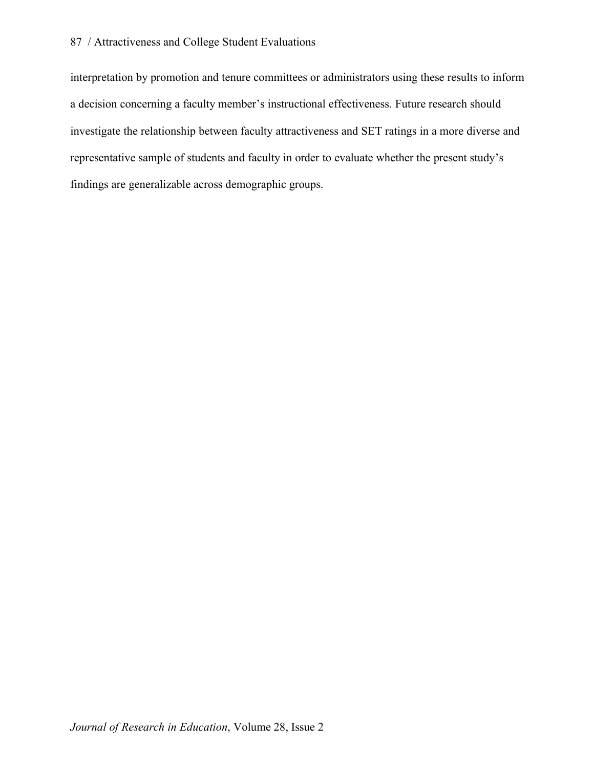interpretation by promotion and tenure committees or administrators using these results to inform a decision concerning a faculty member's instructional effectiveness. Future research should investigate the relationship between faculty attractiveness and SET ratings in a more diverse and representative sample of students and faculty in order to evaluate whether the present study's findings are generalizable across demographic groups.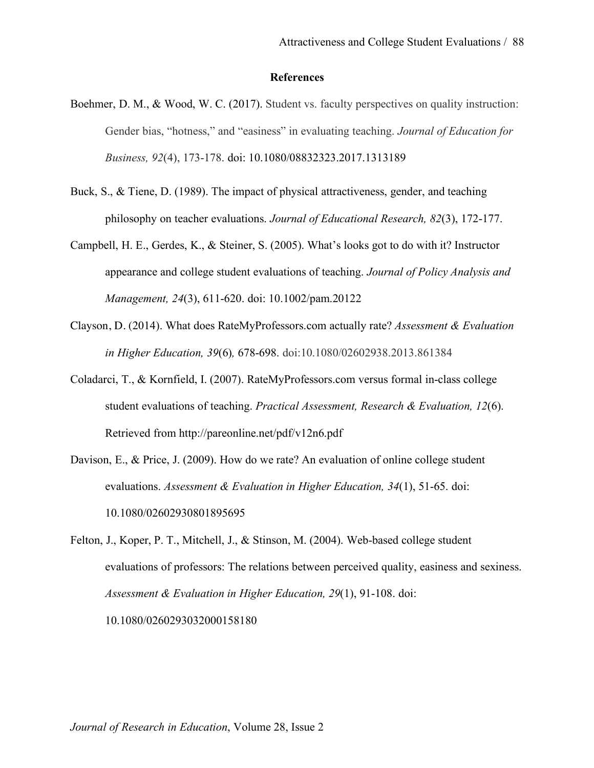#### **References**

- Boehmer, D. M., & Wood, W. C. (2017). Student vs. faculty perspectives on quality instruction: Gender bias, "hotness," and "easiness" in evaluating teaching. *Journal of Education for Business, 92*(4), 173-178. doi: 10.1080/08832323.2017.1313189
- Buck, S., & Tiene, D. (1989). The impact of physical attractiveness, gender, and teaching philosophy on teacher evaluations. *Journal of Educational Research, 82*(3), 172-177.
- Campbell, H. E., Gerdes, K., & Steiner, S. (2005). What's looks got to do with it? Instructor appearance and college student evaluations of teaching. *Journal of Policy Analysis and Management, 24*(3), 611-620. doi: 10.1002/pam.20122
- Clayson, D. (2014). What does RateMyProfessors.com actually rate? *Assessment & Evaluation in Higher Education, 39*(6)*,* 678-698. doi:10.1080/02602938.2013.861384
- Coladarci, T., & Kornfield, I. (2007). RateMyProfessors.com versus formal in-class college student evaluations of teaching. *Practical Assessment, Research & Evaluation, 12*(6). Retrieved from http://pareonline.net/pdf/v12n6.pdf
- Davison, E., & Price, J. (2009). How do we rate? An evaluation of online college student evaluations. *Assessment & Evaluation in Higher Education, 34*(1), 51-65. doi: 10.1080/02602930801895695
- Felton, J., Koper, P. T., Mitchell, J., & Stinson, M. (2004). Web-based college student evaluations of professors: The relations between perceived quality, easiness and sexiness. *Assessment & Evaluation in Higher Education, 29*(1), 91-108. doi: 10.1080/0260293032000158180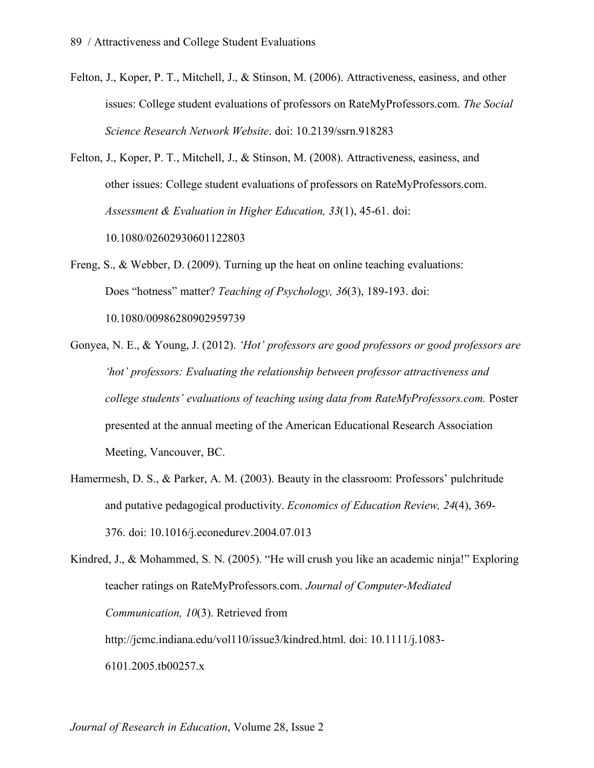- Felton, J., Koper, P. T., Mitchell, J., & Stinson, M. (2006). Attractiveness, easiness, and other issues: College student evaluations of professors on RateMyProfessors.com. *The Social Science Research Network Website*. doi: 10.2139/ssrn.918283
- Felton, J., Koper, P. T., Mitchell, J., & Stinson, M. (2008). Attractiveness, easiness, and other issues: College student evaluations of professors on RateMyProfessors.com. *Assessment & Evaluation in Higher Education, 33*(1), 45-61. doi: 10.1080/02602930601122803
- Freng, S., & Webber, D. (2009). Turning up the heat on online teaching evaluations: Does "hotness" matter? *Teaching of Psychology, 36*(3), 189-193. doi: 10.1080/00986280902959739
- Gonyea, N. E., & Young, J. (2012). *'Hot' professors are good professors or good professors are 'hot' professors: Evaluating the relationship between professor attractiveness and college students' evaluations of teaching using data from RateMyProfessors.com.* Poster presented at the annual meeting of the American Educational Research Association Meeting, Vancouver, BC.
- Hamermesh, D. S., & Parker, A. M. (2003). Beauty in the classroom: Professors' pulchritude and putative pedagogical productivity. *Economics of Education Review, 24*(4), 369- 376. doi: 10.1016/j.econedurev.2004.07.013

Kindred, J., & Mohammed, S. N. (2005). "He will crush you like an academic ninja!" Exploring teacher ratings on RateMyProfessors.com. *Journal of Computer-Mediated Communication, 10*(3). Retrieved from http://jcmc.indiana.edu/vol110/issue3/kindred.html. doi: 10.1111/j.1083- 6101.2005.tb00257.x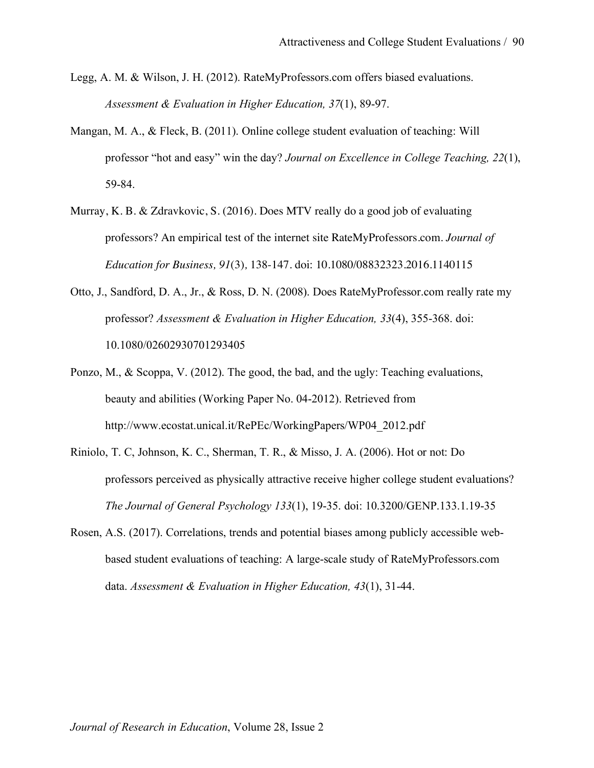- Legg, A. M. & Wilson, J. H. (2012). RateMyProfessors.com offers biased evaluations. *Assessment & Evaluation in Higher Education, 37*(1), 89-97.
- Mangan, M. A., & Fleck, B. (2011). Online college student evaluation of teaching: Will professor "hot and easy" win the day? *Journal on Excellence in College Teaching, 22*(1), 59-84.
- Murray, K. B. & Zdravkovic, S. (2016). Does MTV really do a good job of evaluating professors? An empirical test of the internet site RateMyProfessors.com. *Journal of Education for Business, 91*(3)*,* 138-147. doi: 10.1080/08832323.2016.1140115
- Otto, J., Sandford, D. A., Jr., & Ross, D. N. (2008). Does RateMyProfessor.com really rate my professor? *Assessment & Evaluation in Higher Education, 33*(4), 355-368. doi: 10.1080/02602930701293405
- Ponzo, M., & Scoppa, V. (2012). The good, the bad, and the ugly: Teaching evaluations, beauty and abilities (Working Paper No. 04-2012). Retrieved from http://www.ecostat.unical.it/RePEc/WorkingPapers/WP04\_2012.pdf
- Riniolo, T. C, Johnson, K. C., Sherman, T. R., & Misso, J. A. (2006). Hot or not: Do professors perceived as physically attractive receive higher college student evaluations? *The Journal of General Psychology 133*(1), 19-35. doi: 10.3200/GENP.133.1.19-35
- Rosen, A.S. (2017). Correlations, trends and potential biases among publicly accessible webbased student evaluations of teaching: A large-scale study of RateMyProfessors.com data. *Assessment & Evaluation in Higher Education, 43*(1), 31-44.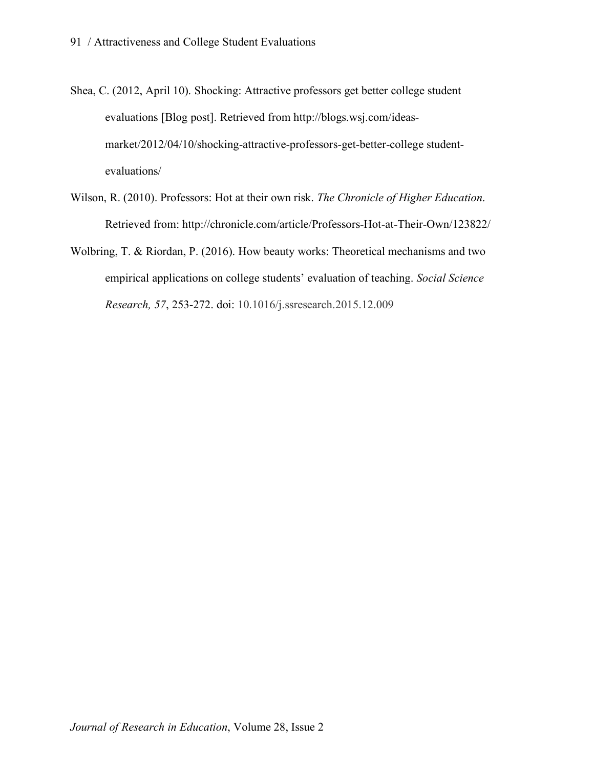- Shea, C. (2012, April 10). Shocking: Attractive professors get better college student evaluations [Blog post]. Retrieved from http://blogs.wsj.com/ideasmarket/2012/04/10/shocking-attractive-professors-get-better-college studentevaluations/
- Wilson, R. (2010). Professors: Hot at their own risk. *The Chronicle of Higher Education*. Retrieved from: http://chronicle.com/article/Professors-Hot-at-Their-Own/123822/
- Wolbring, T. & Riordan, P. (2016). How beauty works: Theoretical mechanisms and two empirical applications on college students' evaluation of teaching. *Social Science Research, 57*, 253-272. doi: 10.1016/j.ssresearch.2015.12.009